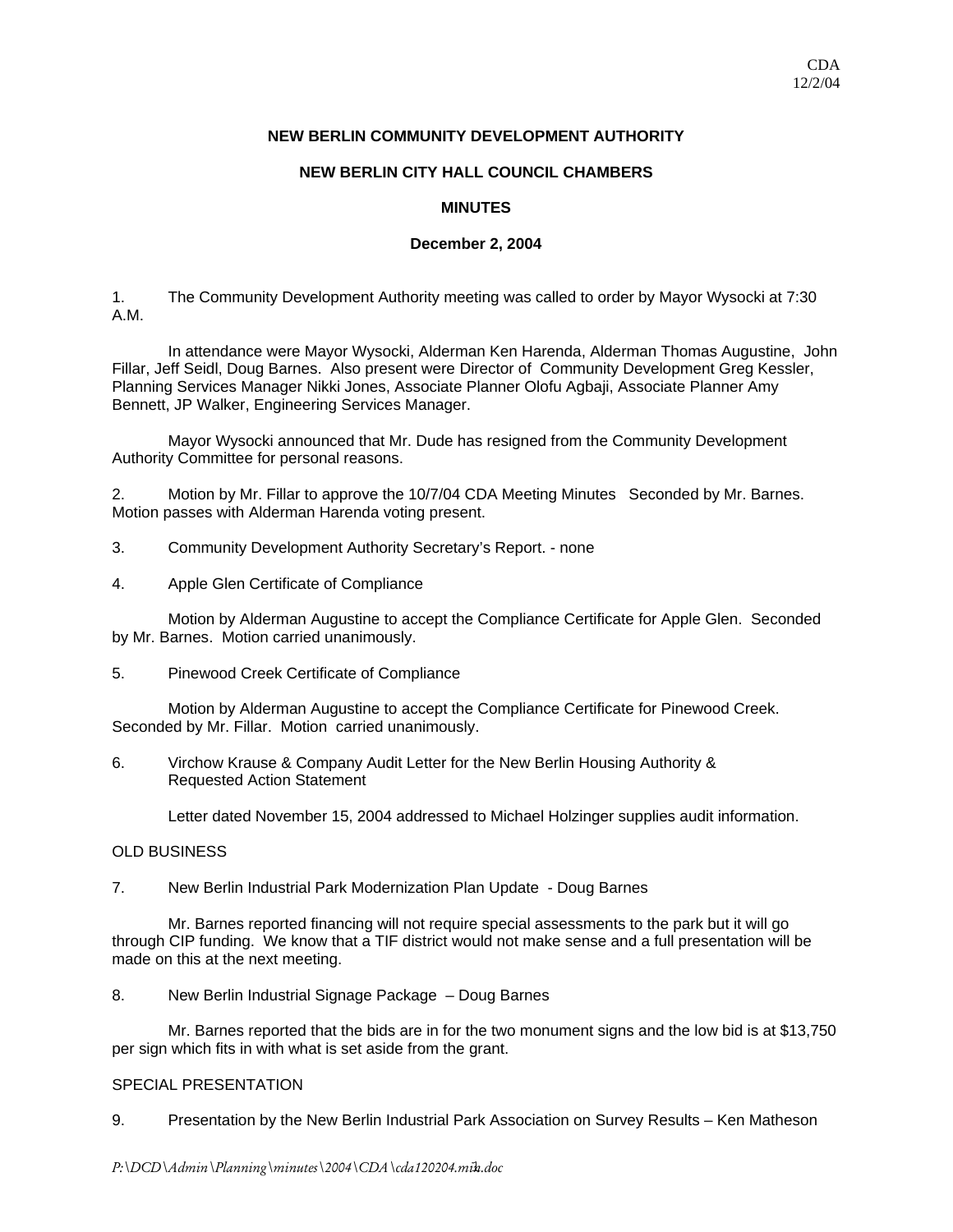# **NEW BERLIN COMMUNITY DEVELOPMENT AUTHORITY**

## **NEW BERLIN CITY HALL COUNCIL CHAMBERS**

# **MINUTES**

## **December 2, 2004**

1. The Community Development Authority meeting was called to order by Mayor Wysocki at 7:30 A.M.

 In attendance were Mayor Wysocki, Alderman Ken Harenda, Alderman Thomas Augustine, John Fillar, Jeff Seidl, Doug Barnes. Also present were Director of Community Development Greg Kessler, Planning Services Manager Nikki Jones, Associate Planner Olofu Agbaji, Associate Planner Amy Bennett, JP Walker, Engineering Services Manager.

 Mayor Wysocki announced that Mr. Dude has resigned from the Community Development Authority Committee for personal reasons.

2. Motion by Mr. Fillar to approve the 10/7/04 CDA Meeting Minutes Seconded by Mr. Barnes. Motion passes with Alderman Harenda voting present.

- 3. Community Development Authority Secretary's Report. none
- 4. Apple Glen Certificate of Compliance

 Motion by Alderman Augustine to accept the Compliance Certificate for Apple Glen. Seconded by Mr. Barnes. Motion carried unanimously.

5. Pinewood Creek Certificate of Compliance

 Motion by Alderman Augustine to accept the Compliance Certificate for Pinewood Creek. Seconded by Mr. Fillar. Motion carried unanimously.

6. Virchow Krause & Company Audit Letter for the New Berlin Housing Authority & Requested Action Statement

Letter dated November 15, 2004 addressed to Michael Holzinger supplies audit information.

## OLD BUSINESS

7. New Berlin Industrial Park Modernization Plan Update - Doug Barnes

Mr. Barnes reported financing will not require special assessments to the park but it will go through CIP funding. We know that a TIF district would not make sense and a full presentation will be made on this at the next meeting.

8. New Berlin Industrial Signage Package – Doug Barnes

 Mr. Barnes reported that the bids are in for the two monument signs and the low bid is at \$13,750 per sign which fits in with what is set aside from the grant.

## SPECIAL PRESENTATION

9. Presentation by the New Berlin Industrial Park Association on Survey Results – Ken Matheson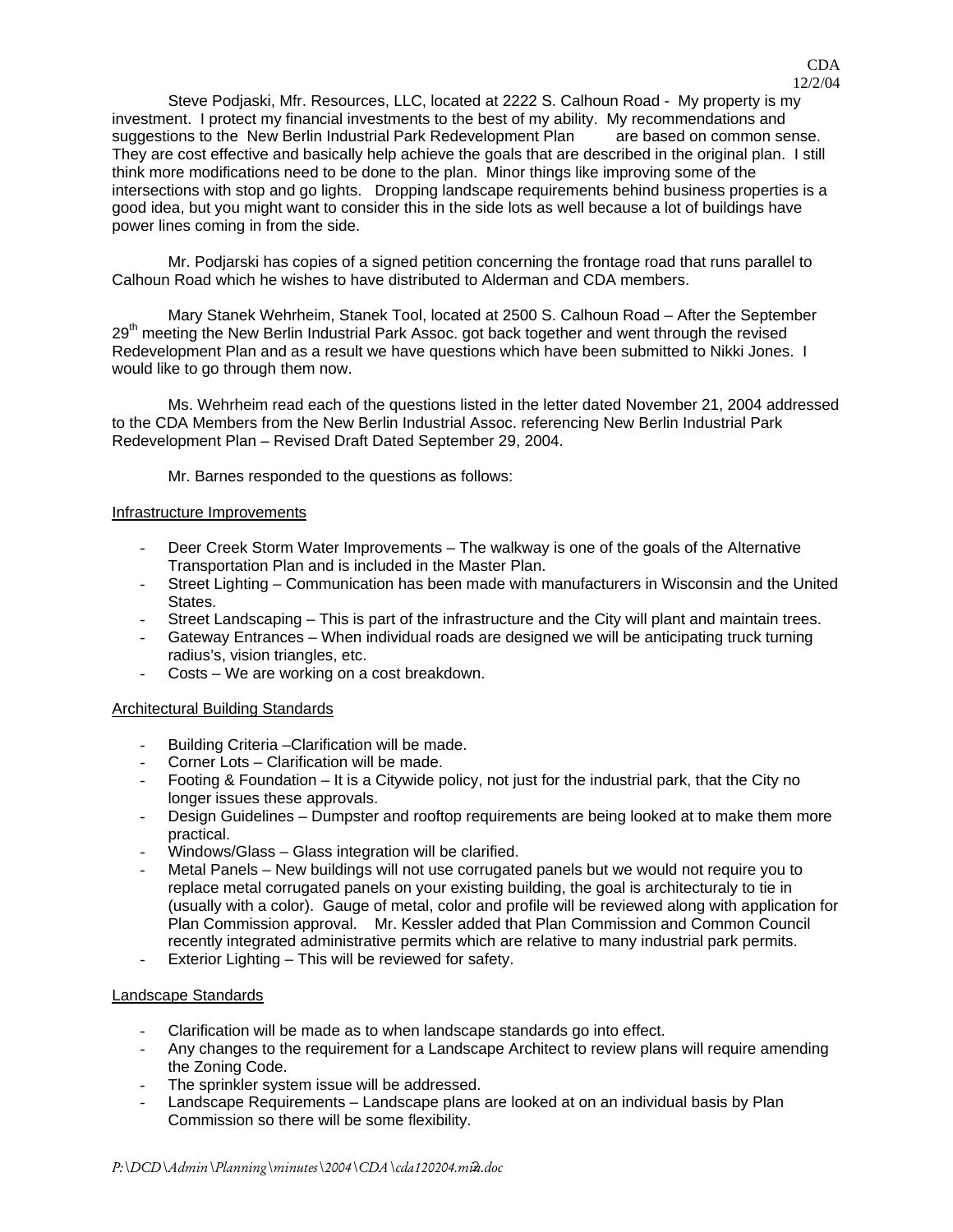Steve Podjaski, Mfr. Resources, LLC, located at 2222 S. Calhoun Road - My property is my investment. I protect my financial investments to the best of my ability. My recommendations and suggestions to the New Berlin Industrial Park Redevelopment Plan are based on common sense. They are cost effective and basically help achieve the goals that are described in the original plan. I still think more modifications need to be done to the plan. Minor things like improving some of the intersections with stop and go lights. Dropping landscape requirements behind business properties is a good idea, but you might want to consider this in the side lots as well because a lot of buildings have power lines coming in from the side.

 Mr. Podjarski has copies of a signed petition concerning the frontage road that runs parallel to Calhoun Road which he wishes to have distributed to Alderman and CDA members.

 Mary Stanek Wehrheim, Stanek Tool, located at 2500 S. Calhoun Road – After the September 29<sup>th</sup> meeting the New Berlin Industrial Park Assoc. got back together and went through the revised Redevelopment Plan and as a result we have questions which have been submitted to Nikki Jones. I would like to go through them now.

 Ms. Wehrheim read each of the questions listed in the letter dated November 21, 2004 addressed to the CDA Members from the New Berlin Industrial Assoc. referencing New Berlin Industrial Park Redevelopment Plan – Revised Draft Dated September 29, 2004.

Mr. Barnes responded to the questions as follows:

### Infrastructure Improvements

- Deer Creek Storm Water Improvements The walkway is one of the goals of the Alternative Transportation Plan and is included in the Master Plan.
- Street Lighting Communication has been made with manufacturers in Wisconsin and the United States.
- Street Landscaping This is part of the infrastructure and the City will plant and maintain trees.
- Gateway Entrances When individual roads are designed we will be anticipating truck turning radius's, vision triangles, etc.
- Costs We are working on a cost breakdown.

## Architectural Building Standards

- Building Criteria –Clarification will be made.
- Corner Lots Clarification will be made.
- Footing & Foundation It is a Citywide policy, not just for the industrial park, that the City no longer issues these approvals.
- Design Guidelines Dumpster and rooftop requirements are being looked at to make them more practical.
- Windows/Glass Glass integration will be clarified.
- Metal Panels New buildings will not use corrugated panels but we would not require you to replace metal corrugated panels on your existing building, the goal is architecturaly to tie in (usually with a color). Gauge of metal, color and profile will be reviewed along with application for Plan Commission approval. Mr. Kessler added that Plan Commission and Common Council recently integrated administrative permits which are relative to many industrial park permits.
- Exterior Lighting This will be reviewed for safety.

## Landscape Standards

- Clarification will be made as to when landscape standards go into effect.
- Any changes to the requirement for a Landscape Architect to review plans will require amending the Zoning Code.
- The sprinkler system issue will be addressed.
- Landscape Requirements Landscape plans are looked at on an individual basis by Plan Commission so there will be some flexibility.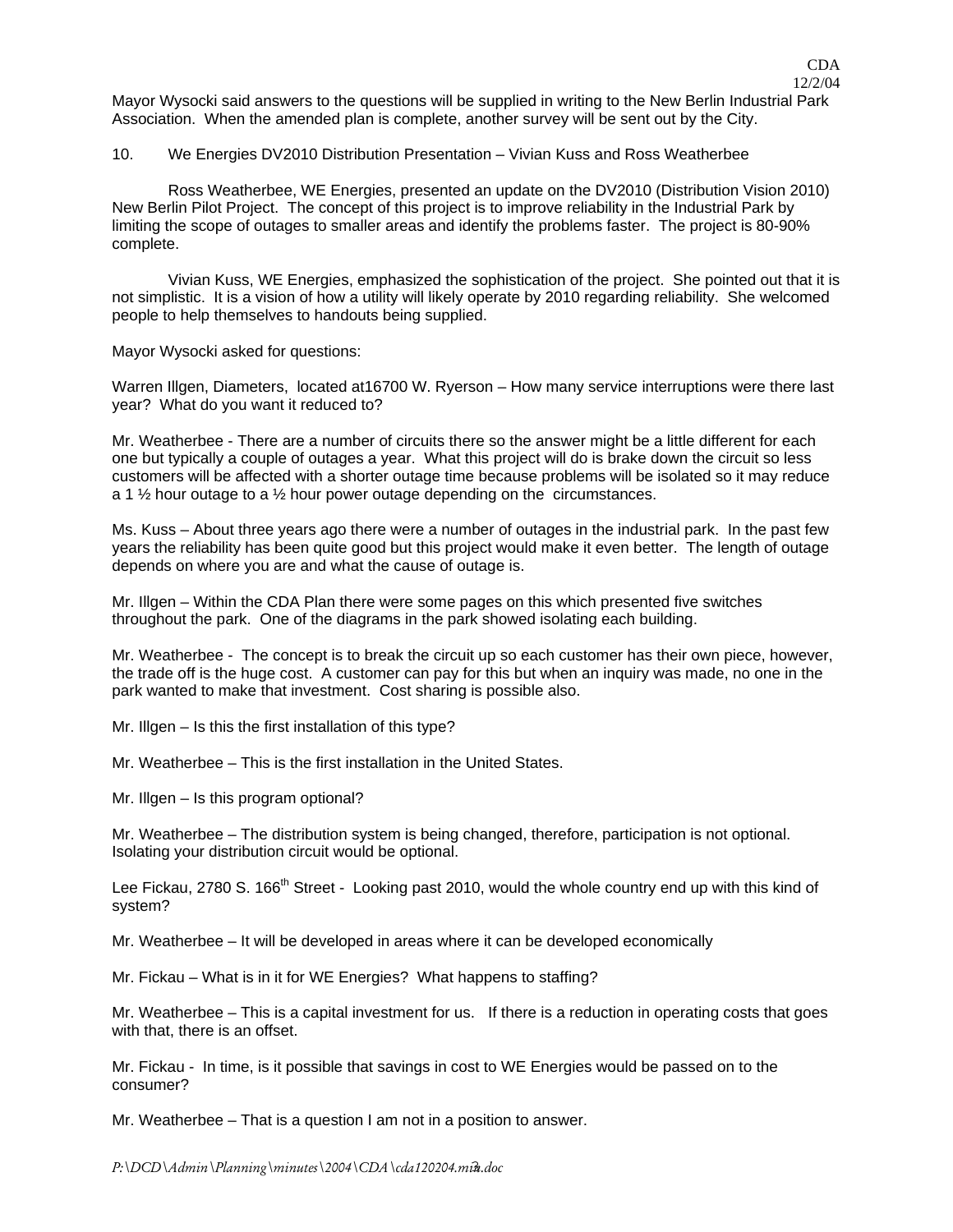Mayor Wysocki said answers to the questions will be supplied in writing to the New Berlin Industrial Park Association. When the amended plan is complete, another survey will be sent out by the City.

#### 10. We Energies DV2010 Distribution Presentation – Vivian Kuss and Ross Weatherbee

 Ross Weatherbee, WE Energies, presented an update on the DV2010 (Distribution Vision 2010) New Berlin Pilot Project. The concept of this project is to improve reliability in the Industrial Park by limiting the scope of outages to smaller areas and identify the problems faster. The project is 80-90% complete.

 Vivian Kuss, WE Energies, emphasized the sophistication of the project. She pointed out that it is not simplistic. It is a vision of how a utility will likely operate by 2010 regarding reliability. She welcomed people to help themselves to handouts being supplied.

Mayor Wysocki asked for questions:

Warren Illgen, Diameters, located at16700 W. Ryerson – How many service interruptions were there last year? What do you want it reduced to?

Mr. Weatherbee - There are a number of circuits there so the answer might be a little different for each one but typically a couple of outages a year. What this project will do is brake down the circuit so less customers will be affected with a shorter outage time because problems will be isolated so it may reduce a 1  $\frac{1}{2}$  hour outage to a  $\frac{1}{2}$  hour power outage depending on the circumstances.

Ms. Kuss – About three years ago there were a number of outages in the industrial park. In the past few years the reliability has been quite good but this project would make it even better. The length of outage depends on where you are and what the cause of outage is.

Mr. Illgen – Within the CDA Plan there were some pages on this which presented five switches throughout the park. One of the diagrams in the park showed isolating each building.

Mr. Weatherbee - The concept is to break the circuit up so each customer has their own piece, however, the trade off is the huge cost. A customer can pay for this but when an inquiry was made, no one in the park wanted to make that investment. Cost sharing is possible also.

Mr. Illgen – Is this the first installation of this type?

Mr. Weatherbee – This is the first installation in the United States.

Mr. Illgen – Is this program optional?

Mr. Weatherbee – The distribution system is being changed, therefore, participation is not optional. Isolating your distribution circuit would be optional.

Lee Fickau, 2780 S. 166<sup>th</sup> Street - Looking past 2010, would the whole country end up with this kind of system?

Mr. Weatherbee – It will be developed in areas where it can be developed economically

Mr. Fickau – What is in it for WE Energies? What happens to staffing?

Mr. Weatherbee – This is a capital investment for us. If there is a reduction in operating costs that goes with that, there is an offset.

Mr. Fickau - In time, is it possible that savings in cost to WE Energies would be passed on to the consumer?

Mr. Weatherbee – That is a question I am not in a position to answer.